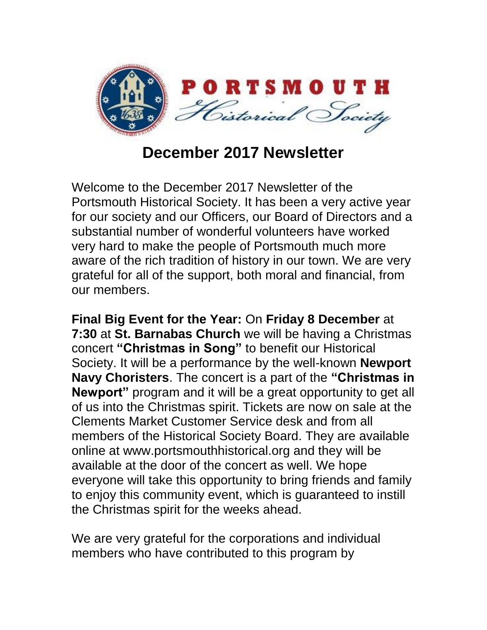

**December 2017 Newsletter**

Welcome to the December 2017 Newsletter of the Portsmouth Historical Society. It has been a very active year for our society and our Officers, our Board of Directors and a substantial number of wonderful volunteers have worked very hard to make the people of Portsmouth much more aware of the rich tradition of history in our town. We are very grateful for all of the support, both moral and financial, from our members.

**Final Big Event for the Year:** On **Friday 8 December** at **7:30** at **St. Barnabas Church** we will be having a Christmas concert **"Christmas in Song"** to benefit our Historical Society. It will be a performance by the well-known **Newport Navy Choristers**. The concert is a part of the **"Christmas in Newport"** program and it will be a great opportunity to get all of us into the Christmas spirit. Tickets are now on sale at the Clements Market Customer Service desk and from all members of the Historical Society Board. They are available online at www.portsmouthhistorical.org and they will be available at the door of the concert as well. We hope everyone will take this opportunity to bring friends and family to enjoy this community event, which is guaranteed to instill the Christmas spirit for the weeks ahead.

We are very grateful for the corporations and individual members who have contributed to this program by